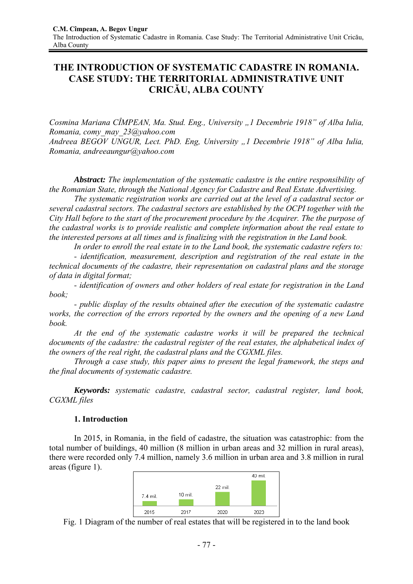# **THE INTRODUCTION OF SYSTEMATIC CADASTRE IN ROMANIA. CASE STUDY: THE TERRITORIAL ADMINISTRATIVE UNIT CRICĂU, ALBA COUNTY**

*Cosmina Mariana CÎMPEAN, Ma. Stud. Eng., University "1 Decembrie 1918" of Alba Iulia, Romania, comy\_may\_23@yahoo.com* 

*Andreea BEGOV UNGUR, Lect. PhD. Eng, University "1 Decembrie 1918" of Alba Iulia, Romania, andreeaungur@yahoo.com* 

*Abstract: The implementation of the systematic cadastre is the entire responsibility of the Romanian State, through the National Agency for Cadastre and Real Estate Advertising.* 

*The systematic registration works are carried out at the level of a cadastral sector or several cadastral sectors. The cadastral sectors are established by the OCPI together with the City Hall before to the start of the procurement procedure by the Acquirer. The the purpose of the cadastral works is to provide realistic and complete information about the real estate to the interested persons at all times and is finalizing with the registration in the Land book.* 

*In order to enroll the real estate in to the Land book, the systematic cadastre refers to:* 

*- identification, measurement, description and registration of the real estate in the technical documents of the cadastre, their representation on cadastral plans and the storage of data in digital format;*

*- identification of owners and other holders of real estate for registration in the Land book;* 

*- public display of the results obtained after the execution of the systematic cadastre works, the correction of the errors reported by the owners and the opening of a new Land book.* 

*At the end of the systematic cadastre works it will be prepared the technical documents of the cadastre: the cadastral register of the real estates, the alphabetical index of the owners of the real right, the cadastral plans and the CGXML files.* 

*Through a case study, this paper aims to present the legal framework, the steps and the final documents of systematic cadastre.* 

*Keywords: systematic cadastre, cadastral sector, cadastral register, land book, CGXML files* 

### **1. Introduction**

In 2015, in Romania, in the field of cadastre, the situation was catastrophic: from the total number of buildings, 40 million (8 million in urban areas and 32 million in rural areas), there were recorded only 7.4 million, namely 3.6 million in urban area and 3.8 million in rural areas (figure 1).



Fig. 1 Diagram of the number of real estates that will be registered in to the land book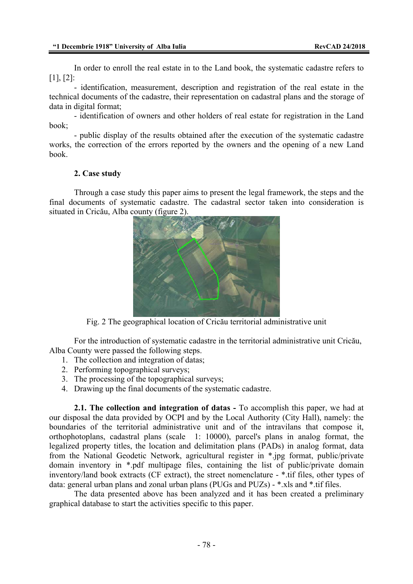In order to enroll the real estate in to the Land book, the systematic cadastre refers to [1], [2]:

- identification, measurement, description and registration of the real estate in the technical documents of the cadastre, their representation on cadastral plans and the storage of data in digital format;

- identification of owners and other holders of real estate for registration in the Land book;

- public display of the results obtained after the execution of the systematic cadastre works, the correction of the errors reported by the owners and the opening of a new Land book.

### **2. Case study**

Through a case study this paper aims to present the legal framework, the steps and the final documents of systematic cadastre. The cadastral sector taken into consideration is situated in Cricău, Alba county (figure 2).



Fig. 2 The geographical location of Cricău territorial administrative unit

For the introduction of systematic cadastre in the territorial administrative unit Cricău, Alba County were passed the following steps.

- 1. The collection and integration of datas;
- 2. Performing topographical surveys;
- 3. The processing of the topographical surveys;
- 4. Drawing up the final documents of the systematic cadastre.

**2.1. The collection and integration of datas -** To accomplish this paper, we had at our disposal the data provided by OCPI and by the Local Authority (City Hall), namely: the boundaries of the territorial administrative unit and of the intravilans that compose it, orthophotoplans, cadastral plans (scale 1: 10000), parcel's plans in analog format, the legalized property titles, the location and delimitation plans (PADs) in analog format, data from the National Geodetic Network, agricultural register in \*.jpg format, public/private domain inventory in \*.pdf multipage files, containing the list of public/private domain inventory/land book extracts (CF extract), the street nomenclature - \*.tif files, other types of data: general urban plans and zonal urban plans (PUGs and PUZs) - \*.xls and \*.tif files.

The data presented above has been analyzed and it has been created a preliminary graphical database to start the activities specific to this paper.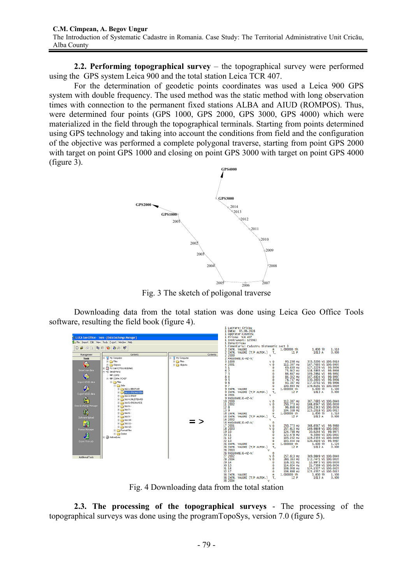**2.2. Performing topographical survey** – the topographical survey were performed using the GPS system Leica 900 and the total station Leica TCR 407.

For the determination of geodetic points coordinates was used a Leica 900 GPS system with double frequency. The used method was the static method with long observation times with connection to the permanent fixed stations ALBA and AIUD (ROMPOS). Thus, were determined four points (GPS 1000, GPS 2000, GPS 3000, GPS 4000) which were materialized in the field through the topographical terminals. Starting from points determined using GPS technology and taking into account the conditions from field and the configuration of the objective was performed a complete polygonal traverse, starting from point GPS 2000 with target on point GPS 1000 and closing on point GPS 3000 with target on point GPS 4000 (figure 3).



Fig. 3 The sketch of poligonal traverse

Downloading data from the total station was done using Leica Geo Office Tools software, resulting the field book (figure 4). **Lincoson** Adam

|                         |                                                            |                    |                      | Data: 05.08.2016                          |                                     |                                          |                                                                                                                                                                              |                |
|-------------------------|------------------------------------------------------------|--------------------|----------------------|-------------------------------------------|-------------------------------------|------------------------------------------|------------------------------------------------------------------------------------------------------------------------------------------------------------------------------|----------------|
|                         |                                                            |                    |                      | 1 Operator: Cosmina                       |                                     |                                          |                                                                                                                                                                              |                |
|                         | <b>ELEICA Geo Office - Tools - [Data Exchange Manager]</b> |                    |                      | 1 Prisma: TCR 407<br>1 Instrument: 125963 |                                     |                                          |                                                                                                                                                                              |                |
|                         | The Import Edit View Tools Export Window Help              |                    |                      | 1 Zona:Cricau                             |                                     |                                          |                                                                                                                                                                              |                |
| 口声感受地区 中央市区             |                                                            |                    |                      |                                           |                                     | 1 Comentariu: Cadastru Sistematic sect 3 |                                                                                                                                                                              |                |
|                         |                                                            |                    |                      | 2 INTR. VALORI                            | m<br>2 INTR. VALORI (T/P AUTOM.) T_ | 1.000000 th<br>11P                       | 1.600 h<br>1013 A                                                                                                                                                            | 1.510<br>0.000 |
| Management              | Contents                                                   | Contents           | 2 2000               |                                           | v                                   |                                          |                                                                                                                                                                              |                |
| Tools                   | E- R My Computer                                           | - Ry Computer      |                      | 2 MASURARE/E-HZ-V/                        |                                     |                                          |                                                                                                                                                                              |                |
|                         | <b>B-in Files</b>                                          | <b>R-Ran Files</b> | 3 1000               |                                           | V <sub>D</sub>                      | 93.236 HZ                                | 333.5260 V1 100.0010                                                                                                                                                         |                |
| Ģ                       | <b>D</b> Objects                                           | il Coliects        | 4 2001<br>51         |                                           | v D<br>D                            | 112,307 Hz<br>69.630 Hz                  |                                                                                                                                                                              |                |
| Import raw data         | E R PC-Card (TPS1100(DNA)<br><b>R-Il Serial Ports</b>      |                    | 6 <sub>2</sub>       |                                           | D                                   | 75.942 HZ                                |                                                                                                                                                                              |                |
|                         | <b>ED</b> COM3                                             |                    | 73                   |                                           | D                                   | 86.667 HZ                                |                                                                                                                                                                              |                |
| ¢                       | □ 四 COM4: TC407                                            |                    | 84                   |                                           | D                                   | 84.342 Hz                                |                                                                                                                                                                              |                |
| Import ASCII data       | <b>Big Fles</b>                                            |                    | 9 <sub>5</sub><br>96 |                                           | D<br>D                              | 78.737 Hz<br>93.367 HZ                   | 383, 3260 V1 100, 0005<br>127, 3229 V1 99, 9996<br>118, 5865 V1 99, 9996<br>109, 2884 V1 99, 9998<br>107, 4824 V1 99, 9997<br>130, 3693 V1 99, 9998<br>137, 0763 V1 99, 9998 |                |
|                         | $\oplus$ $\bigcap$ $x$ bs                                  |                    | 97                   |                                           | D                                   | 100.663 HZ                               | 139.6161 v1 100.0009                                                                                                                                                         |                |
| 办                       | E 30b 1:SIBOT109                                           |                    |                      | 9 INTR. VALORI                            |                                     | 1.000000 th                              | $1.600$ ih                                                                                                                                                                   | 1,500          |
| Export ASCII data       | 3db 2: CRICAUTOSA                                          |                    |                      | 9 INTR. VALORI (T/P AUTOM.)               | $T_{-}$                             | 12P                                      | 1013A                                                                                                                                                                        | 0.000          |
|                         | <b>B</b> Job 3: CRAIV                                      |                    | 9 2001               | 9 MASURARE/E-HZ-V/                        | v                                   |                                          |                                                                                                                                                                              |                |
| $\mathbf{f}_\mathrm{f}$ | 8 2 Job 4: SALISTEARS0                                     |                    | 10 2000              |                                           | v D                                 | 112.307 Hz                               | 387.7685 V1 100.0040                                                                                                                                                         |                |
| Data Exchange Manager   | <b>B</b> Job S:CRICAUNICE                                  |                    | 11 2002              |                                           | v b                                 | 250.773 HZ                               | 168.6547 v1 100.0030                                                                                                                                                         |                |
|                         | 由 C Job 6 -<br>图 20075                                     |                    | 12 <sub>8</sub>      |                                           | $\mathbf{D}$                        | 96.858 HZ                                | 109.2343 V1 100.0036                                                                                                                                                         |                |
| $\vec{E}_i$             | 出口 2008-                                                   |                    | 13 9                 | 16 INTR. VALORI                           | D<br>m                              | 104.338 Hz<br>1.000000 th                | 115.2018 v1 100.0015<br>$1.600$ ih                                                                                                                                           | 1.510          |
|                         | 出 Cha Job 9:-                                              |                    |                      | 16 INTR. VALORI (T/P AUTOM.)              | $T_{-}$                             | 12P                                      | 1013A                                                                                                                                                                        | 0.000          |
| Software Upload         | H 2 Job 10:-                                               |                    | 16 2002              |                                           | $\mathbf{v}$                        |                                          |                                                                                                                                                                              |                |
| 鼅                       | <b>第42 场</b> 11>                                           |                    |                      | 16 MASURARE/E-HZ-V/                       | D                                   |                                          |                                                                                                                                                                              |                |
|                         | B 2 10b 12 :-                                              |                    | 17 2001<br>18 2003   |                                           | V <sub>D</sub><br>V <sub>D</sub>    | 250.773 HZ<br>257.613 HZ                 | 368.6547 v1 99.9980<br>169.9849 v1 100.0003                                                                                                                                  |                |
| Formet Manager          | <b>D</b> Fornat files                                      |                    | 19 10                |                                           | D                                   | 124.788 Hz                               | 10.6244 v1 99.9975                                                                                                                                                           |                |
|                         | <b>E</b> Codes                                             |                    | 20 11                |                                           | D                                   | 122.478 Hz                               | 9.3060 v1 100.0002                                                                                                                                                           |                |
|                         | H @ ActiveSync                                             |                    | 21 12                |                                           | D                                   | 105.252 HZ                               | 119.2355 v1 100.0000                                                                                                                                                         |                |
| Export from job         |                                                            |                    | 22 13                | 26 INTR. VALORI                           | D<br>п                              | 103.444 HZ<br>1.000000 th                | 120.4620 v1 99.9987<br>$1.600$ ih                                                                                                                                            | 1.520          |
|                         |                                                            |                    |                      | 26 INTR. VALORI (T/P AUTOM.)              | $T_{-}$                             | 12P                                      | 1013A                                                                                                                                                                        | 0.000          |
|                         |                                                            |                    | 26 2003              |                                           | $\mathbf{v}$                        |                                          |                                                                                                                                                                              |                |
|                         |                                                            |                    | 27 2002              | 26 MASURARE/E-HZ-V/                       | D                                   |                                          |                                                                                                                                                                              |                |
| Additional Tools        |                                                            |                    | 28 2004              |                                           | V <sub>D</sub><br>V <sub>D</sub>    | 257.613 Hz<br>260.363 HZ                 | 369.9849 V1 100.0040<br>172.7471 v1 100.0035                                                                                                                                 |                |
|                         |                                                            |                    | 29 14                |                                           | D                                   | 116.321 Hz                               |                                                                                                                                                                              |                |
|                         |                                                            |                    | 30 15                |                                           | Ð                                   | 114.824 Hz                               | 12.9973 v1 100.0030<br>11.7589 v1 100.0036<br>124.1527 v1 100.0025                                                                                                           |                |
|                         |                                                            |                    | 31 16<br>32 17       |                                           | Ð<br>D                              | 108.958 Hz<br>106.888 HZ                 | 125.4557 v1 100.0015                                                                                                                                                         |                |
|                         |                                                            |                    |                      | 36 INTR. VALORI                           | m                                   | 1,000000 th                              | $1,600$ ih                                                                                                                                                                   | 1,500          |
|                         |                                                            |                    |                      | 36 INTR. VALORI (T/P AUTOM.)              | $T_{-}$                             | 12P                                      | 1013A                                                                                                                                                                        | 0.000          |
|                         |                                                            |                    | 36 2004              |                                           | v                                   |                                          |                                                                                                                                                                              |                |

Fig. 4 Downloading data from the total station

**2.3. The processing of the topographical surveys** - The processing of the topographical surveys was done using the programTopoSys, version 7.0 (figure 5).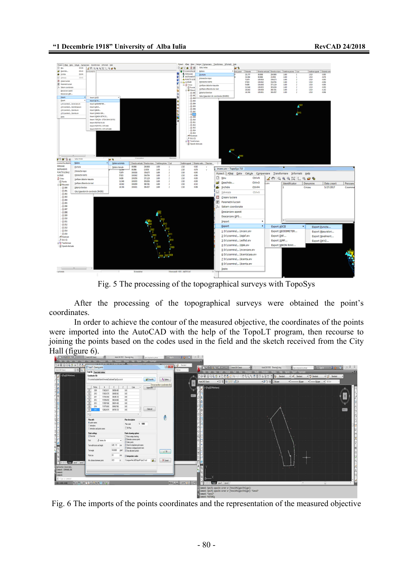

Fig. 5 The processing of the topographical surveys with TopoSys

After the processing of the topographical surveys were obtained the point's coordinates.

In order to achieve the contour of the measured objective, the coordinates of the points were imported into the AutoCAD with the help of the TopoLT program, then recourse to joining the points based on the codes used in the field and the sketch received from the City Hall (figure 6).

| <b>BBBB</b> and thru Readdome   |                                                                                | Adol/AB Davisling   |                                                       | a perigioni proc | 美人家                  | $-1.00$ $-0.00$ $-0.00$    |                                                                                                                                                    |                                    |                   |                                  |                                      |                                                                                                                                                                                                                                                                                                                                                                                                                                                                                  |
|---------------------------------|--------------------------------------------------------------------------------|---------------------|-------------------------------------------------------|------------------|----------------------|----------------------------|----------------------------------------------------------------------------------------------------------------------------------------------------|------------------------------------|-------------------|----------------------------------|--------------------------------------|----------------------------------------------------------------------------------------------------------------------------------------------------------------------------------------------------------------------------------------------------------------------------------------------------------------------------------------------------------------------------------------------------------------------------------------------------------------------------------|
|                                 | w boat forms Took Daw Omercon Modly Fauntine Widow Mile Gover Topol' Topology- |                     |                                                       |                  |                      |                            |                                                                                                                                                    |                                    |                   |                                  |                                      |                                                                                                                                                                                                                                                                                                                                                                                                                                                                                  |
|                                 | <b><i>Chapell</i></b> - Daving points                                          |                     |                                                       |                  | $4 - 1$              | G Stolet                   | <b>A. T.S. E. B. A.</b> - O. S. - C. MANDROWN                                                                                                      |                                    | AddVIII Invisible | Texplanable stress               | E. Lyn                               | $\begin{array}{c c c c c} \hline \multicolumn{3}{c }{\mathbf{5}} & \multicolumn{3}{c }{\mathbf{5}} \\ \hline \multicolumn{3}{c }{\mathbf{6}} & \multicolumn{3}{c }{\mathbf{6}} & \multicolumn{3}{c }{\mathbf{7}} \\ \hline \multicolumn{3}{c }{\mathbf{7}} & \multicolumn{3}{c }{\mathbf{8}} & \multicolumn{3}{c }{\mathbf{8}} \\ \hline \multicolumn{3}{c }{\mathbf{8}} & \multicolumn{3}{c }{\mathbf{9}} & \multicolumn{3}{c }{\mathbf{1}} \\ \hline \multic$<br>$-12.4 - 1 -$ |
| $-0.8197$<br>AdoCAT Clevic      | Foa fie Tun total chilen                                                       |                     |                                                       |                  |                      | <b>BO</b> se               |                                                                                                                                                    | or Took Day Disease Mulk Paaners V |                   | Grace Help Tippes TopoT TippGaph |                                      | $-50$                                                                                                                                                                                                                                                                                                                                                                                                                                                                            |
| - Field Watson                  | <b>Comfession Me</b>                                                           |                     |                                                       |                  |                      |                            | 00800050XDBBd\4-A-54Q4BBBABBB <mark>4 2mm</mark> d                                                                                                 |                                    |                   | $x \neq 2$ eded                  | - D Sedat<br>$\bullet$ $\beta$ 2mini |                                                                                                                                                                                                                                                                                                                                                                                                                                                                                  |
|                                 | Disamini's startime to be a control of                                         |                     |                                                       | <b>D</b> Danie   | A lates              |                            | AutoCAD Classic                                                                                                                                    | -821600-001                        | - 8 3 % DNA       | $+$ $-$ Mag                      | $-$ bire<br>$-$ Mole                 |                                                                                                                                                                                                                                                                                                                                                                                                                                                                                  |
|                                 | <b>NS</b>                                                                      |                     | Cobi<br>$\lambda$                                     | <b>Appelle</b>   | Occeando condices de |                            | 1-FlodO Nichard                                                                                                                                    |                                    |                   |                                  |                                      |                                                                                                                                                                                                                                                                                                                                                                                                                                                                                  |
|                                 | $\overline{u}$<br>220<br>590301                                                | 20/530 420          | ИÚ                                                    |                  |                      |                            |                                                                                                                                                    |                                    |                   |                                  |                                      |                                                                                                                                                                                                                                                                                                                                                                                                                                                                                  |
|                                 | TP:<br>380<br>928269<br>T3<br>301<br>939330                                    | 3845.93<br>30,8578  | w<br>w                                                |                  |                      |                            |                                                                                                                                                    |                                    |                   |                                  |                                      |                                                                                                                                                                                                                                                                                                                                                                                                                                                                                  |
|                                 | $\mathbf{D}$<br>301<br>120602                                                  | 2824330             | 10                                                    |                  |                      |                            |                                                                                                                                                    |                                    |                   |                                  |                                      |                                                                                                                                                                                                                                                                                                                                                                                                                                                                                  |
|                                 | $\overline{v}$<br>202<br>TODGO<br>$-201$<br>128<br>08/749                      | 20021-02<br>3000356 | <b>MI</b><br>w                                        |                  |                      |                            |                                                                                                                                                    |                                    |                   |                                  |                                      |                                                                                                                                                                                                                                                                                                                                                                                                                                                                                  |
|                                 | $\overline{v}$<br>\$30359                                                      | 3979.725            | 100                                                   | Oriotal          |                      |                            |                                                                                                                                                    |                                    |                   |                                  |                                      |                                                                                                                                                                                                                                                                                                                                                                                                                                                                                  |
|                                 | $\cdot$                                                                        |                     |                                                       |                  |                      |                            |                                                                                                                                                    |                                    |                   |                                  |                                      |                                                                                                                                                                                                                                                                                                                                                                                                                                                                                  |
|                                 | Plus with                                                                      |                     | Ras description                                       |                  | ٥                    |                            |                                                                                                                                                    |                                    |                   |                                  |                                      |                                                                                                                                                                                                                                                                                                                                                                                                                                                                                  |
|                                 | <b>Report names</b>                                                            |                     | 1 100<br><b>Flancisk</b>                              |                  |                      |                            |                                                                                                                                                    |                                    |                   |                                  |                                      |                                                                                                                                                                                                                                                                                                                                                                                                                                                                                  |
|                                 | <b>I deutien</b><br>Tx <sup>n</sup><br>release and politicians                 |                     |                                                       |                  |                      |                            |                                                                                                                                                    |                                    |                   |                                  |                                      |                                                                                                                                                                                                                                                                                                                                                                                                                                                                                  |
|                                 | <b>Tuint collings</b>                                                          |                     | Points drawing optime                                 |                  |                      |                            |                                                                                                                                                    |                                    |                   |                                  |                                      |                                                                                                                                                                                                                                                                                                                                                                                                                                                                                  |
|                                 | P Drawing                                                                      |                     | Pot owle closing<br>Z Swington power gaints           |                  |                      |                            |                                                                                                                                                    |                                    |                   |                                  |                                      |                                                                                                                                                                                                                                                                                                                                                                                                                                                                                  |
|                                 | 2 mach<br><b>Fot</b>                                                           |                     | Odermirk                                              |                  |                      |                            |                                                                                                                                                    |                                    |                   |                                  |                                      |                                                                                                                                                                                                                                                                                                                                                                                                                                                                                  |
|                                 | Terroristicato and leight                                                      | 08 15 mm            | <b>ZOeileaukeseinen</b><br>Opinion overappoints to to |                  |                      |                            |                                                                                                                                                    |                                    |                   |                                  |                                      |                                                                                                                                                                                                                                                                                                                                                                                                                                                                                  |
|                                 | Teilante                                                                       | 100,000<br>god      | <b>ZOm skrani unick</b>                               |                  | $\sqrt{B}$           |                            |                                                                                                                                                    |                                    |                   |                                  |                                      |                                                                                                                                                                                                                                                                                                                                                                                                                                                                                  |
|                                 | Potter                                                                         | M<br>.,             | / Intronetate codes                                   |                  |                      |                            |                                                                                                                                                    |                                    |                   |                                  |                                      |                                                                                                                                                                                                                                                                                                                                                                                                                                                                                  |
| <b>TED IN BM LIGHT LIGHT</b>    | Ky dramatement sales                                                           | 0D                  | Eigegun für billikanf Age Liced                       | B.               | X Case               |                            |                                                                                                                                                    |                                    |                   |                                  |                                      |                                                                                                                                                                                                                                                                                                                                                                                                                                                                                  |
| Attoria teorora.                |                                                                                |                     |                                                       |                  |                      |                            |                                                                                                                                                    |                                    |                   | <b>STATE</b>                     |                                      |                                                                                                                                                                                                                                                                                                                                                                                                                                                                                  |
| Conseil: COVAN INC<br>Contact:  |                                                                                |                     |                                                       |                  |                      |                            |                                                                                                                                                    |                                    |                   |                                  |                                      |                                                                                                                                                                                                                                                                                                                                                                                                                                                                                  |
| Council:                        |                                                                                |                     |                                                       |                  |                      |                            |                                                                                                                                                    |                                    |                   |                                  |                                      |                                                                                                                                                                                                                                                                                                                                                                                                                                                                                  |
| E for a commo<br>1006.0000.0000 | <b>NORMAL ARMAN DIVE</b>                                                       |                     |                                                       |                  |                      | <b>KXR 3 H Att AT 3 19</b> | <b>EXCEPT AND LIVES LIGHT</b>                                                                                                                      |                                    |                   | $\mathbb{R}$                     |                                      |                                                                                                                                                                                                                                                                                                                                                                                                                                                                                  |
|                                 |                                                                                |                     |                                                       |                  |                      |                            |                                                                                                                                                    |                                    |                   |                                  |                                      |                                                                                                                                                                                                                                                                                                                                                                                                                                                                                  |
|                                 |                                                                                |                     |                                                       |                  |                      |                            | .<br>- Comment: Specify opposite corner or [fence/Wfolygon/Ofolygon]:<br>- Comment: Specify opposite corner or [fence/Wfolygon/Ofolygon]: "Cancel" |                                    |                   |                                  |                                      |                                                                                                                                                                                                                                                                                                                                                                                                                                                                                  |
|                                 |                                                                                |                     |                                                       |                  |                      |                            | Commet: "Cancel"                                                                                                                                   |                                    |                   |                                  |                                      |                                                                                                                                                                                                                                                                                                                                                                                                                                                                                  |

Fig. 6 The imports of the points coordinates and the representation of the measured objective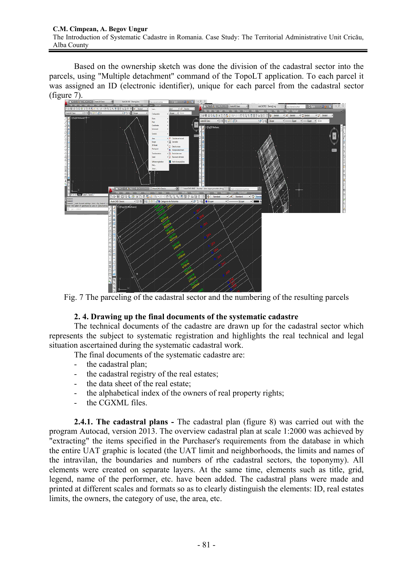Based on the ownership sketch was done the division of the cadastral sector into the parcels, using "Multiple detachment" command of the TopoLT application. To each parcel it was assigned an ID (electronic identifier), unique for each parcel from the cadastral sector (figure 7).



Fig. 7 The parceling of the cadastral sector and the numbering of the resulting parcels

## **2. 4. Drawing up the final documents of the systematic cadastre**

The technical documents of the cadastre are drawn up for the cadastral sector which represents the subject to systematic registration and highlights the real technical and legal situation ascertained during the systematic cadastral work.

The final documents of the systematic cadastre are:

- the cadastral plan;
- the cadastral registry of the real estates;
- the data sheet of the real estate:
- the alphabetical index of the owners of real property rights;
- the CGXML files.

**2.4.1. The cadastral plans -** The cadastral plan (figure 8) was carried out with the program Autocad, version 2013. The overview cadastral plan at scale 1:2000 was achieved by "extracting" the items specified in the Purchaser's requirements from the database in which the entire UAT graphic is located (the UAT limit and neighborhoods, the limits and names of the intravilan, the boundaries and numbers of rthe cadastral sectors, the toponymy). All elements were created on separate layers. At the same time, elements such as title, grid, legend, name of the performer, etc. have been added. The cadastral plans were made and printed at different scales and formats so as to clearly distinguish the elements: ID, real estates limits, the owners, the category of use, the area, etc.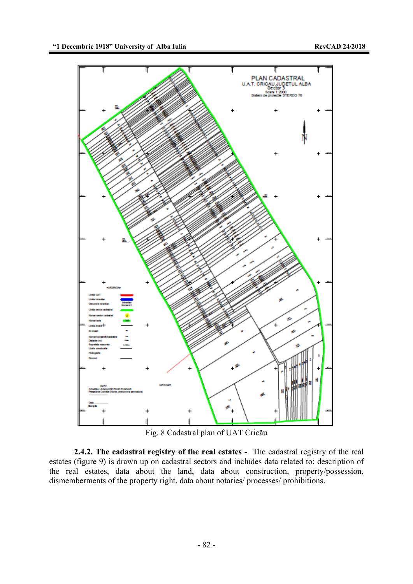

Fig. 8 Cadastral plan of UAT Cricău

**2.4.2. The cadastral registry of the real estates -** The cadastral registry of the real estates (figure 9) is drawn up on cadastral sectors and includes data related to: description of the real estates, data about the land, data about construction, property/possession, dismemberments of the property right, data about notaries/ processes/ prohibitions.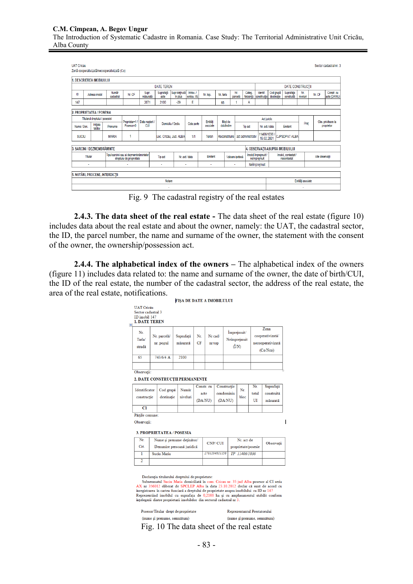#### **C.M. Cîmpean, A. Begov Ungur**

The Introduction of Systematic Cadastre in Romania. Case Study: The Territorial Administrative Unit Cricău, Alba County

| <b>UAT Cricau</b><br>Sector cadastral nr. 3<br>Zonă cooperativizată/necooperativizată (Co) |                                 |  |                                |                          |                                         |                   |                           |                         |                         |                 |                                    |                         |                                     |                         |                                    |                                 |                   |                    |                            |
|--------------------------------------------------------------------------------------------|---------------------------------|--|--------------------------------|--------------------------|-----------------------------------------|-------------------|---------------------------|-------------------------|-------------------------|-----------------|------------------------------------|-------------------------|-------------------------------------|-------------------------|------------------------------------|---------------------------------|-------------------|--------------------|----------------------------|
| 1. DESCRIEREA IMOBILULUI                                                                   |                                 |  |                                |                          |                                         |                   |                           |                         |                         |                 |                                    |                         |                                     |                         |                                    |                                 |                   |                    |                            |
|                                                                                            | <b>DATE TEREN</b>               |  |                                |                          |                                         |                   |                           |                         |                         |                 |                                    | <b>DATE CONSTRUCTII</b> |                                     |                         |                                    |                                 |                   |                    |                            |
| ID                                                                                         | Adresa imobil                   |  | Număr<br>cadastral             | Nr. CF                   | Supr.<br>măsurată                       | Suprafață<br>acte | Supr deținută<br>în plus  | Intrav./<br>extrav. I/E | Nr. top.                | Nr. tarla       |                                    | Nr.<br>parcelă          | Categ.<br>folosintă                 | Identif.<br>constructie | Cod grupă<br>destinatie            | Suprafața<br>construită         | Nr.<br>niveluri   | Nr. CF             | Constr. cu<br>acte (DA/NU) |
| 147                                                                                        |                                 |  |                                |                          | 2071                                    | 2100              | $-29$                     | E                       |                         | 65              |                                    |                         | A                                   |                         |                                    |                                 |                   |                    |                            |
|                                                                                            | 2. PROPRIETATEA / POSESIA       |  |                                |                          |                                         |                   |                           |                         |                         |                 |                                    |                         |                                     |                         |                                    |                                 |                   |                    |                            |
|                                                                                            | Titularul dreptului / posesiei  |  | Proprietar=1 / Data nașterii / |                          |                                         |                   |                           | Entităti                | Mod de                  |                 |                                    |                         |                                     | Act juridic             |                                    |                                 |                   | Obs. privitoare la |                            |
| Nume / Den                                                                                 | Inițiala<br>tatălui             |  | Prenume                        | Posesor=0                | CUÍ                                     | Domiciliu / Sediu |                           | Cota parte              | asociate                |                 | dobândire                          |                         | <b>Tip act</b><br>Nr. act / data    |                         |                                    | Emitent                         | Pret              |                    | proprietar                 |
| <b>SUCIU</b>                                                                               |                                 |  | <b>MARIA</b>                   |                          |                                         |                   | Loc. Cricau, Jud. ALBA    | 1/1                     | Teren                   |                 | Reconstituire<br>act administrativ |                         | 11406/1036<br>19.02.2001            |                         | <b>CJPSDPAT ALBA</b>               |                                 |                   |                    |                            |
|                                                                                            | 3. SARCINI / DEZMEMBRĂMINTE     |  |                                |                          |                                         |                   |                           |                         |                         |                 |                                    |                         |                                     |                         |                                    | 4. OBSERVATII ASUPRA IMOBILULUI |                   |                    |                            |
|                                                                                            | Titular                         |  |                                | dreptului de proprietate | Tipul sarcinii sau al dezmembrămintelor |                   | Tio act<br>Nr. act / data |                         | Emitent                 | Valoare ipotecă |                                    |                         | Imobil împrejmuit /<br>neimprejmuit |                         | Imobil, contestat /<br>necontestat |                                 | Alte observatii   |                    |                            |
|                                                                                            | ٠                               |  |                                |                          |                                         | ٠                 |                           | ٠                       | Neîmprejmuit<br>×.<br>٠ |                 |                                    |                         |                                     |                         |                                    |                                 |                   |                    |                            |
|                                                                                            | 5. NOTĂRI, PROCESE, INTERDICȚII |  |                                |                          |                                         |                   |                           |                         |                         |                 |                                    |                         |                                     |                         |                                    |                                 |                   |                    |                            |
|                                                                                            |                                 |  |                                |                          |                                         | Notare            |                           |                         |                         |                 |                                    |                         |                                     |                         |                                    |                                 | Entități asociate |                    |                            |
|                                                                                            |                                 |  |                                |                          |                                         | ٠                 |                           |                         |                         |                 |                                    |                         |                                     |                         |                                    |                                 | $\sim$            |                    |                            |
|                                                                                            |                                 |  |                                |                          |                                         |                   |                           |                         |                         |                 |                                    |                         |                                     |                         |                                    |                                 |                   |                    |                            |

Fig. 9 The cadastral registry of the real estates

**2.4.3. The data sheet of the real estate -** The data sheet of the real estate (figure 10) includes data about the real estate and about the owner, namely: the UAT, the cadastral sector, the ID, the parcel number, the name and surname of the owner, the statement with the consent of the owner, the ownership/possession act.

**2.4.4. The alphabetical index of the owners –** The alphabetical index of the owners (figure 11) includes data related to: the name and surname of the owner, the date of birth/CUI, the ID of the real estate, the number of the cadastral sector, the address of the real estate, the area of the real estate, notifications. **FISA DE DATE A IMOBILULUI** 

| Nr.<br>Tarla/<br>stradă        | Nr. parcelă/<br>nr. poștal |                                  | Suprafață<br>măsurată |          | Nr.<br>CF | Nr cad/<br>nr top |               |                           | Împrejmuit/<br>Neîmpreimuit<br>$(\hat{I}/N)$ | Zona<br>cooperativizată/<br>necooperativizată<br>(Co/Nco) |                        |
|--------------------------------|----------------------------|----------------------------------|-----------------------|----------|-----------|-------------------|---------------|---------------------------|----------------------------------------------|-----------------------------------------------------------|------------------------|
| 65                             | 743/6/4 A                  |                                  | 2100                  |          |           |                   |               |                           |                                              |                                                           |                        |
|                                |                            |                                  |                       |          |           |                   |               |                           |                                              |                                                           |                        |
| Observații:                    |                            |                                  |                       |          |           |                   |               |                           |                                              |                                                           |                        |
| 2. DATE CONSTRUCTII PERMANENTE |                            |                                  |                       |          |           |                   |               |                           |                                              |                                                           |                        |
| Identificator<br>construcție   |                            | Cod grupă                        | Număr                 |          |           | Constr. cu        |               | Construcție<br>condominiu | Nr.                                          | Nr.                                                       | Suprafață              |
|                                |                            | destinație                       |                       | niveluri |           | acte<br>(DA/NU)   |               | (DA/NU)                   | bloc                                         | total<br>UI                                               | construită<br>măsurată |
| C1                             |                            |                                  |                       |          |           |                   |               |                           |                                              |                                                           |                        |
| Părtile comune:                |                            |                                  |                       |          |           |                   |               |                           |                                              |                                                           |                        |
| Observatii:                    |                            |                                  |                       |          |           |                   |               |                           |                                              |                                                           |                        |
|                                |                            | <b>3. PROPRIETATEA / POSESIA</b> |                       |          |           |                   |               |                           |                                              |                                                           |                        |
| Nr.                            |                            | Nume și prenume deținător/       |                       |          |           |                   |               |                           | Nr. act de                                   |                                                           |                        |
| Crt.                           | Denumire persoană juridică |                                  |                       |          |           |                   | CNP/CUI       |                           | proprietate/posesie                          |                                                           | Observații             |
| 1                              | Suciu Maria                |                                  |                       |          |           |                   | 2701204011150 |                           | TP 11406/1036                                |                                                           |                        |
| $\overline{2}$                 |                            |                                  |                       |          |           |                   |               |                           |                                              |                                                           |                        |

înregistrarea în cartea funciară a dreptului de proprietate asupra imobilului cu ID nr 147<br>Reprezentând imobilul cu suprafața de 0,2100 ha și cu amplasamentul stabilit conform<br>înțelegerii dintre proprietarii imobilelor di

Posesor/Titular drept de proprietate (nume și prenume, semnătura)

Reprezentantul Prestatorului (nume și prenume, semnătura)

Fig. 10 The data sheet of the real estate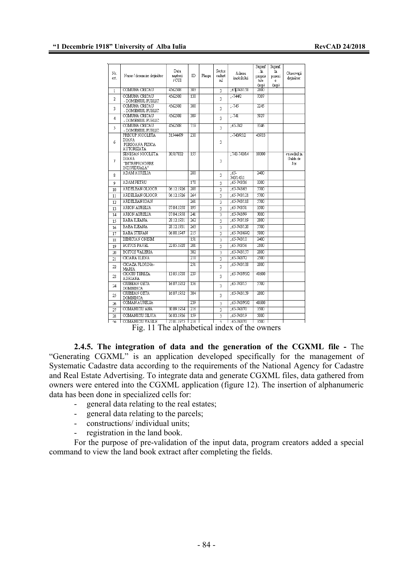| Nr.<br>crt.        | Nume / denumire detinător                                          | Data<br>nasterii<br>/CUI | ID               | Plansa | Sector<br>cadast<br>ral | Adresa<br>imobilului | Supraf<br>. în<br>proprie<br>tate<br>(mp) | Supraf.<br>în<br>posesi<br>e<br>(mp) | Observatii<br>detinător:        |
|--------------------|--------------------------------------------------------------------|--------------------------|------------------|--------|-------------------------|----------------------|-------------------------------------------|--------------------------------------|---------------------------------|
| $\mathbf{1}$       | COMUNA CRICAU                                                      | 4562508                  | 303              |        | $\overline{3}$          | :65.743/158          | 2800                                      |                                      |                                 |
| $\overline{a}$     | COMUNA CRICAU<br>- DOMENIUL PUBLIC                                 | 4562508                  | 138              |        | 3                       | $-7442$              | 7307                                      |                                      |                                 |
| 3                  | COMUNA CRICAU<br>- DOMENIUL PUBLIC                                 | 4562508                  | 308              |        | 3                       | $-745$               | 2245                                      |                                      |                                 |
| 4                  | COMUNA CRICAU<br>- DOMENIUL PUBLIC                                 | 4562508                  | 309              |        | 3                       | $-741$               | 5927                                      |                                      |                                 |
| 5                  | COMUNA CRICAU<br>- DOMENIUL PUBLIC                                 | 4562508                  | 719              |        | 3                       | $:65-742$            | 3346                                      |                                      |                                 |
| 6                  | PRECUP NICOLETA<br><b>DIANA</b><br>PERSOANA FIZICA<br>AUTORIZATA   | 31544479                 | 238              |        | 3                       | $: -743/95/2$        | 43933                                     |                                      |                                 |
| 7                  | SENESAN NICOLETA<br><b>DIANA</b><br>"INTREPRINDERE<br>INDIVIDUALA" | 30517832                 | 155              |        | 3                       | :743.743/14          | 10300                                     |                                      | cu sediul in<br>Galda de<br>Jos |
| $\mathbf{\hat{z}}$ | <b>ADAM AURELIA</b>                                                |                          | 288              |        | 3                       | $.65-$<br>743/145/1  | 2400                                      |                                      |                                 |
| Q                  | <b>ADAM PETRU</b>                                                  |                          | 178              |        | 3                       | $:65-743/36$         | 3300                                      |                                      |                                 |
| 10                 | ARDELEAN GLIGOR                                                    | 06.12.1926               | 208              |        | 3                       | $:65 - 743/63$       | 5700                                      |                                      |                                 |
| 11                 | <b>ARDELEAN GLIGOR</b>                                             | 06.12.1926               | 264              |        | 3                       | $:65-743/121$        | 5700                                      |                                      |                                 |
| 12                 | <b>ARDELEAN IOAN</b>                                               |                          | 261              |        | 3                       | $:65-743/118$        | 5700                                      |                                      |                                 |
| 13                 | <b>ARION AURELIA</b>                                               | 07.04.1958               | 195              |        | 3                       | $:65-743/51$         | 3500                                      |                                      |                                 |
| 14                 | <b>ARION AURELIA</b>                                               | 07.04.1958               | $\overline{241}$ |        | $\overline{\mathbf{3}}$ | ;65-743/99           | 7000                                      |                                      |                                 |
| 15                 | <b>BABA ILEANA</b>                                                 | 28.12.1931               | 262              |        | 3                       | $:65-743/119$        | 2800                                      |                                      |                                 |
| 16                 | <b>BABA ILEANA</b>                                                 | 28.12.1931               | 263              |        | 3                       | $:65-743/120$        | 5700                                      |                                      |                                 |
| 17                 | <b>BABA STEFAN</b>                                                 | 06.08.1947               | $\overline{215}$ |        | 3                       | $:65-743/69/2$       | 5800                                      |                                      |                                 |
| 18                 | <b>BENICIAN ONISIM</b>                                             |                          | 151              |        | 3                       | $:65-743/10$         | 2400                                      |                                      |                                 |
| 19                 | <b>BOITOS PAVEL</b>                                                | 22.05.1928               | $\overline{201}$ |        | 3                       | $:65 - 743/56$       | 2100                                      |                                      |                                 |
| 20                 | <b>BOITOS VALERIA</b>                                              |                          | 302              |        | 3                       | $:65-743/157$        | 2800                                      |                                      |                                 |
| 21                 | <b>CIOARA ELENA</b>                                                |                          | 218              |        | 3                       | $:65-74372$          | 2500                                      |                                      |                                 |
| 22                 | CIOAZA FLORINA-<br>MARIA                                           |                          | 251              |        | 3                       | $:65-743/108$        | 2800                                      |                                      |                                 |
| 23                 | <b>CIOCIU TEREZA</b><br>ADRIANA                                    | 13.05.1938               | 239              |        | 3                       | $:65-743/95/2$       | 48600                                     |                                      |                                 |
| 24                 | <b>CIUBEAN GETA</b><br><b>DOMNINCA</b>                             | 16.07.1952               | 156              |        | 3                       | $:65-743/15$         | 5700                                      |                                      |                                 |
| 25                 | <b>CIUBEAN GETA</b><br>DOMNINCA                                    | 16.07.1952               | 304              |        | 3                       | $:65-743/159$        | 2800                                      |                                      |                                 |
| 26                 | <b>COMAN AURELIA</b>                                               |                          | 239              |        | 3                       | $:65-743.95.2$       | 48600                                     |                                      |                                 |
| 27                 | COMANICIU ANA                                                      | 30.09.1954               | 216              |        | 3                       | $:65 - 743/70$       | 3500                                      |                                      |                                 |
| 28                 | COMANICIU SILVIA                                                   | 06.03.1936               | 159              |        | 3                       | $:65-743/19$         | 5000                                      |                                      |                                 |
| $\overline{10}$    | <b>COMANICIU VASILE</b>                                            | 27.01.1975               | 216              |        | ä                       | $:65-743/70$         | 3500                                      |                                      |                                 |

Fig. 11 The alphabetical index of the owners

**2.4.5. The integration of data and the generation of the CGXML file -** The "Generating CGXML" is an application developed specifically for the management of Systematic Cadastre data according to the requirements of the National Agency for Cadastre and Real Estate Advertising. To integrate data and generate CGXML files, data gathered from owners were entered into the CGXML application (figure 12). The insertion of alphanumeric data has been done in specialized cells for:

- general data relating to the real estates;
- general data relating to the parcels;
- constructions/ individual units;
- registration in the land book.

For the purpose of pre-validation of the input data, program creators added a special command to view the land book extract after completing the fields.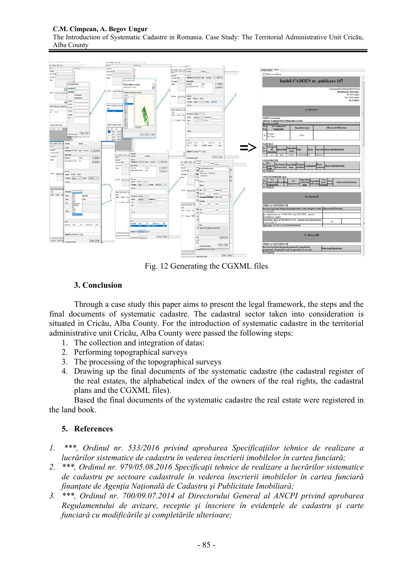### **C.M. Cîmpean, A. Begov Ungur**

The Introduction of Systematic Cadastre in Romania. Case Study: The Territorial Administrative Unit Cricău, Alba County



Fig. 12 Generating the CGXML files

## **3. Conclusion**

Through a case study this paper aims to present the legal framework, the steps and the final documents of systematic cadastre. The cadastral sector taken into consideration is situated in Cricău, Alba County. For the introduction of systematic cadastre in the territorial administrative unit Cricău, Alba County were passed the following steps:

- 1. The collection and integration of datas:
- 2. Performing topographical surveys
- 3. The processing of the topographical surveys
- 4. Drawing up the final documents of the systematic cadastre (the cadastral register of the real estates, the alphabetical index of the owners of the real rights, the cadastral plans and the CGXML files).

Based the final documents of the systematic cadastre the real estate were registered in the land book.

### **5. References**

- *1. \*\*\*, Ordinul nr. 533/2016 privind aprobarea Specificaţiilor tehnice de realizare a lucrărilor sistematice de cadastru în vederea înscrierii imobilelor în cartea funciară;*
- *2. \*\*\*, Ordinul nr. 979/05.08.2016 Specificaţii tehnice de realizare a lucrărilor sistematice de cadastru pe sectoare cadastrale în vederea înscrierii imobilelor în cartea funciară finanţate de Agenţia Naţională de Cadastru şi Publicitate Imobiliară;*
- *3. \*\*\*, Ordinul nr. 700/09.07.2014 al Directorului General al ANCPI privind aprobarea Regulamentului de avizare, receptie şi înscriere în evidenţele de cadastru şi carte funciară cu modificările şi completările ulterioare;*